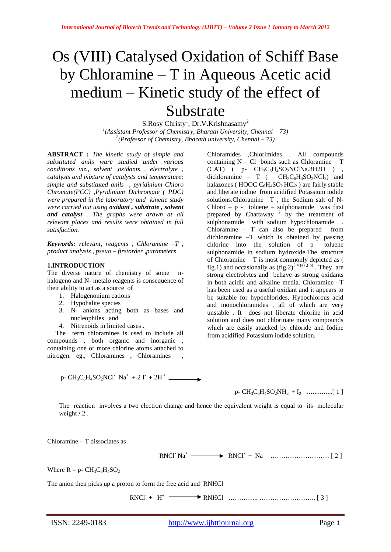# Os (VIII) Catalysed Oxidation of Schiff Base by Chloramine – T in Aqueous Acetic acid medium – Kinetic study of the effect of Substrate

S.Rosy Christy<sup>1</sup>, Dr.V.Krishnasamy<sup>2</sup> *1 (Assistant Professor of Chemistry, Bharath University, Chennai – 73) 2 (Professor of Chemistry, Bharath university, Chennai – 73)*

**ABSTRACT :** *The kinetic study of simple and substituted anils ware studied under various conditions viz., solvent ,oxidants , electrolyte , catalysts and mixture of catalysts and temperature; simple and substituted anils , pyridinium Chloro Chromate(PCC) ,Pyridinium Dichromate ( PDC) were prepared in the laboratory and kinetic study were carried out using oxidant , substrate , solvent and catalyst . The graphs were drawn at all relevant places and results were obtained in full satisfaction.*

*Keywords: relevant, reagents , Chloramine –T , product analysis , pseuo – firstorder ,parameters*

#### **1.INTRODUCTION**

The diverse nature of chemistry of some nhalogeno and N- metalo reagents is consequence of their ability to act as a source of

- 1. Halogenonium cations
- 2. Hypohalite species
- 3. N- anions acting both as bases and nucleophiles and
- 4. Nitrenoids in limited cases .

 The term chloramines is used to include all compounds , both organic and inorganic , containing one or more chlorine atoms attached to nitrogen. eg., Chloramines , Chloramines ,

 $p$ **-**  $CH_3C_6H_4SO_2NCI$   $Na^+$  + 2  $I^+$  +  $2H^+$ 

Chloramides ,Chlorimides . All compounds containing  $N - Cl$  bonds such as Chloramine – T  $(CAT)$  (  $p-CH_3C_6H_4SO_2NClNa.3H2O$  ), dichloramine – T (  $CH_3C_6H_4SO_2NCl_2$ ) and halazones (  $HOOC C_6H_4SO_2 HCl_2$  ) are fairly stable and liberate iodine from acidified Potassium iodide solutions.Chloramine –T , the Sodium salt of N-Chloro –  $p -$  toluene – sulphonamide was first prepared by Chattaway<sup>2</sup> by the treatment of sulphonamide with sodium hypochlonamide Chloramine – T can also be prepared from dichloramine –T which is obtained by passing chlorine into the solution of p –toluene sulphonamide in sodium hydroxide.The structure of Chloramine – T is most commonly depicted as ( fig.1) and occasionally as  $(fig.2)^{3,4(a)}$ , (b). They are strong electrolytes and behave as strong oxidants in both acidic and alkaline media. Chloramine –T has been used as a useful oxidant and it appears to be suitable for hypochlorides. Hypochlorous acid and monochloramides , all of which are very unstable . It does not liberate chlorine in acid solution and does not chlorinate many compounds which are easily attacked by chloride and Iodine from acidified Potassium iodide solution.

p- CH3C6H4SO2NH2 + I2 **…………**[ 1 ]

The reaction involves a two electron change and hence the equivalent weight is equal to its molecular weight **/** 2 .

Chloramine – T dissociates as

**RNCI** Na<sup>+</sup> → **RNCI** + Na<sup>+</sup> ……………………… [2]

Where  $R = p - CH_3C_6H_4SO_2$ 

The anion then picks up a proton to form the free acid and RNHCl

 $RNCI + H^+$ RNHCl ………….. …………………….. [ 3 ]

ISSN: 2249-0183 http://www.ijbttjournal.org Page 1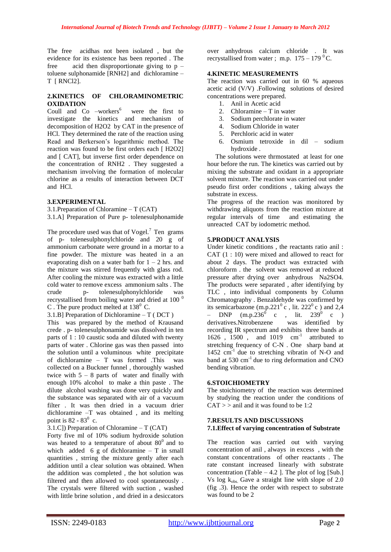The free acidhas not been isolated , but the evidence for its existence has been reported . The free acid then disproportionate giving to  $p$ toluene sulphonamide [RNH2] and dichloramine – T [ RNCl2].

# **2.KINETICS OF CHLORAMINOMETRIC OXIDATION**

Coull and  $Co$  –workers<sup>6</sup> were the first to investigate the kinetics and mechanism of decomposition of H2O2 by CAT in the presence of HCl. They determined the rate of the reaction using Read and Berkerson's logarithmic method. The reaction was found to be first orders each [ H2O2] and [ CAT], but inverse first order dependence on the concentration of RNH2 . They suggested a mechanism involving the formation of molecular chlorine as a results of interaction between DCT and HCl.

# **3.EXPERIMENTAL**

3.1.Preparation of Chloramine – T (CAT)

3.1.A] Preparation of Pure p- tolenesulphonamide

The procedure used was that of  $Vogel$ <sup>7</sup> Ten grams of p- tolenesulphonylchloride and 20 g of ammonium carbonate were ground in a mortar to a fine powder. The mixture was heated in a an evaporating dish on a water bath for  $1 - 2$  hrs. and the mixture was stirred frequently with glass rod. After cooling the mixture was extracted with a little cold water to remove excess ammonium salts . The crude p- tolenesulphonylchloride was recrystallised from boiling water and dried at  $100<sup>0</sup>$ C. The pure product melted at  $138^{\circ}$  C.

3.1.B] Preparation of Dichloramine – T ( DCT )

This was prepared by the method of Krausand crede . p- tolenesulphonamide was dissolved in ten parts of 1 : 10 caustic soda and diluted with twenty parts of water . Chlorine gas was then passed into the solution until a voluminous white precipitate of dichloramine – T was formed .This was collected on a Buckner funnel , thoroughly washed twice with  $5 - 8$  parts of water and finally with enough 10% alcohol to make a thin paste . The dilute alcohol washing was done very quickly and the substance was separated with air of a vacuum filter . It was then dried in a vacuum drier dichloramine –T was obtained , and its melting point is 82 -  $83^0$  c.

3.1.C]) Preparation of Chloramine – T (CAT)

Forty five ml of 10% sodium hydroxide solution was heated to a temperature of about  $80^0$  and to which added 6 g of dichloramine  $-$  T in small quantities , strring the mixture gently after each addition until a clear solution was obtained. When the addition was completed , the hot solution was filtered and then allowed to cool spontaneously . The crystals were filtered with suction , washed with little brine solution , and dried in a desiccators

over anhydrous calcium chloride . It was recrystallised from water : m.p.  $175 - 179$  °C.

#### **4.KINETIC MEASUREMENTS**

The reaction was carried out in 60 % aqueous acetic acid (V/V) .Following solutions of desired concentrations were prepared.

- 1. Anil in Acetic acid
- 2. Chloramine T in water
- 3. Sodium perchlorate in water
- 4. Sodium Chloride in water
- 5. Perchloric acid in water
- 6. Osmium tetroxide in dil sodium hydroxide .

 The solutions were thrmostated at least for one hour before the run. The kinetics was carried out by mixing the substrate and oxidant in a appropriate solvent mixture. The reaction was carried out under pseudo first order conditions , taking always the substrate in excess.

The progress of the reaction was monitored by withdrawing aliquots from the reaction mixture at regular intervals of time and estimating the unreacted CAT by iodometric method.

#### **5.PRODUCT ANALYSIS**

Under kinetic conditions , the reactants ratio anil : CAT (1 : 10) were mixed and allowed to react for about 2 days. The product was extracted with chloroform . the solvent was removed at reduced pressure after drying over anhydrous Na2SO4. The products were separated , after identifying by TLC , into individual components by Column Chromatography . Benzaldehyde was confirmed by its semicarbazone (m.p.221 $^0$ c, lit. 222 $^0$ c) and 2,4 – DNP  $(m.p.236^{\circ} \text{ c} , \text{ lit. } 239^{\circ} \text{ c} )$ derivatives.Nitrobenzene was identified by recording IR spectrum and exhibits three bands at 1626, 1500, and 1019  $cm^{-1}$  attributed to stretching frequency of C-N . One sharp band at 1452 cm<sup>-1</sup> due to stretching vibratin of N-O and band at  $530 \text{ cm}^{-1}$  due to ring deformation and CNO bending vibration.

#### **6.STOICHIOMETRY**

The stoichiometry of the reaction was determined by studying the reaction under the conditions of  $CAT$  > > anil and it was found to be 1:2

# **7.RESULTS AND DISCUSSIONS 7.1.Effect of varying concentration of Substrate**

The reaction was carried out with varying concentration of anil , always in excess , with the constant concentrations of other reactants . The rate constant increased linearly with substrate concentration (Table  $-4.2$  ]. The plot of log [Sub.] Vs log  $k_{obs}$  Gave a straight line with slope of 2.0 (fig .3). Hence the order with respect to substrate was found to be 2